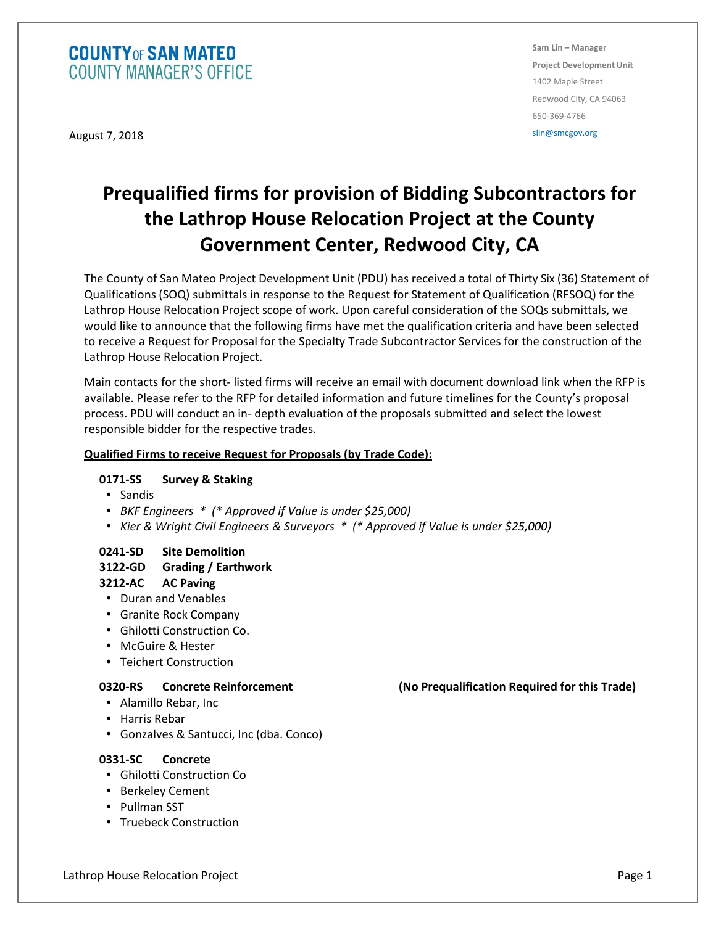## **COUNTY OF SAN MATEO COUNTY MANAGER'S OFFICE**

August 7, 2018

**Sam Lin – Manager Project Development Unit**  1402 Maple Street Redwood City, CA 94063 650-369-4766

slin@smcgov.org

# **Prequalified firms for provision of Bidding Subcontractors for the Lathrop House Relocation Project at the County Government Center, Redwood City, CA**

The County of San Mateo Project Development Unit (PDU) has received a total of Thirty Six (36) Statement of Qualifications (SOQ) submittals in response to the Request for Statement of Qualification (RFSOQ) for the Lathrop House Relocation Project scope of work. Upon careful consideration of the SOQs submittals, we would like to announce that the following firms have met the qualification criteria and have been selected to receive a Request for Proposal for the Specialty Trade Subcontractor Services for the construction of the Lathrop House Relocation Project.

Main contacts for the short- listed firms will receive an email with document download link when the RFP is available. Please refer to the RFP for detailed information and future timelines for the County's proposal process. PDU will conduct an in- depth evaluation of the proposals submitted and select the lowest responsible bidder for the respective trades.

#### **Qualified Firms to receive Request for Proposals (by Trade Code):**

### **0171-SS Survey & Staking**

- Sandis
- *BKF Engineers \* (\* Approved if Value is under \$25,000)*
- *Kier & Wright Civil Engineers & Surveyors \* (\* Approved if Value is under \$25,000)*

### **0241-SD Site Demolition**

#### **3122-GD Grading / Earthwork**

#### **3212-AC AC Paving**

- Duran and Venables
- Granite Rock Company
- Ghilotti Construction Co.
- McGuire & Hester
- Teichert Construction

- Alamillo Rebar, Inc
- Harris Rebar
- Gonzalves & Santucci, Inc (dba. Conco)

#### **0331-SC Concrete**

- Ghilotti Construction Co
- Berkeley Cement
- Pullman SST
- Truebeck Construction

**0320-RS Concrete Reinforcement (No Prequalification Required for this Trade)** 

Lathrop House Relocation Project Page 1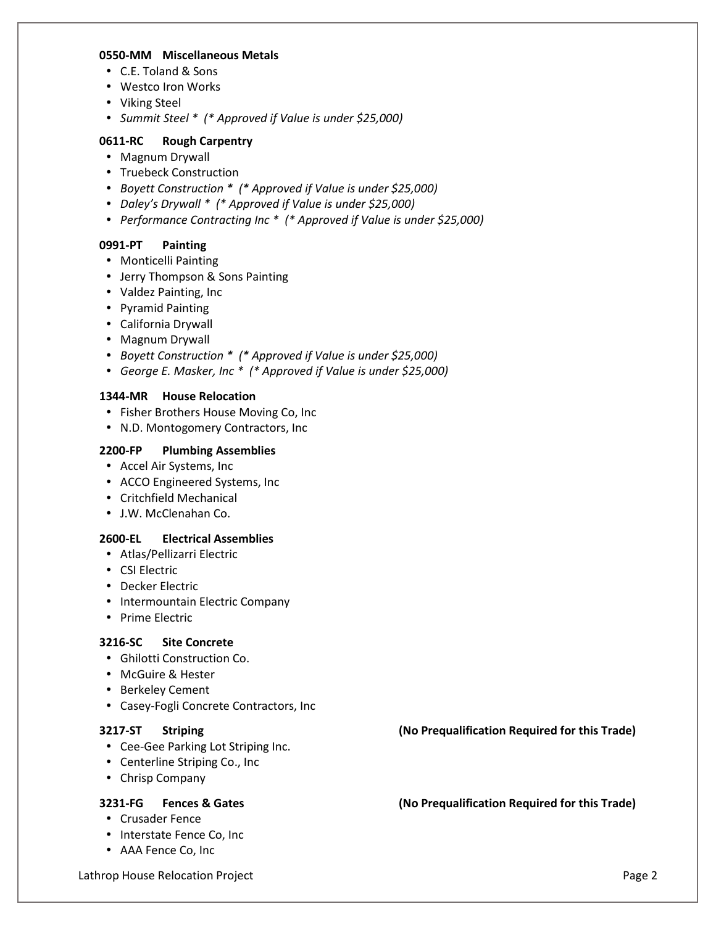#### **0550-MM Miscellaneous Metals**

- C.E. Toland & Sons
- Westco Iron Works
- Viking Steel
- *Summit Steel \* (\* Approved if Value is under \$25,000)*

#### **0611-RC Rough Carpentry**

- Magnum Drywall
- Truebeck Construction
- *Boyett Construction \* (\* Approved if Value is under \$25,000)*
- *Daley's Drywall \* (\* Approved if Value is under \$25,000)*
- *Performance Contracting Inc \* (\* Approved if Value is under \$25,000)*

#### **0991-PT Painting**

- Monticelli Painting
- Jerry Thompson & Sons Painting
- Valdez Painting, Inc
- Pyramid Painting
- California Drywall
- Magnum Drywall
- *Boyett Construction \* (\* Approved if Value is under \$25,000)*
- *George E. Masker, Inc \* (\* Approved if Value is under \$25,000)*

#### **1344-MR House Relocation**

- Fisher Brothers House Moving Co, Inc
- N.D. Montogomery Contractors, Inc

#### **2200-FP Plumbing Assemblies**

- Accel Air Systems, Inc
- ACCO Engineered Systems, Inc
- Critchfield Mechanical
- J.W. McClenahan Co.

#### **2600-EL Electrical Assemblies**

- Atlas/Pellizarri Electric
- CSI Electric
- Decker Electric
- Intermountain Electric Company
- Prime Electric

#### **3216-SC Site Concrete**

- Ghilotti Construction Co.
- McGuire & Hester
- Berkeley Cement
- Casey-Fogli Concrete Contractors, Inc

- Cee-Gee Parking Lot Striping Inc.
- Centerline Striping Co., Inc
- Chrisp Company

- Crusader Fence
- Interstate Fence Co, Inc
- AAA Fence Co, Inc

Lathrop House Relocation Project Page 2

**3217-ST Striping (No Prequalification Required for this Trade)** 

**3231-FG Fences & Gates (No Prequalification Required for this Trade)**